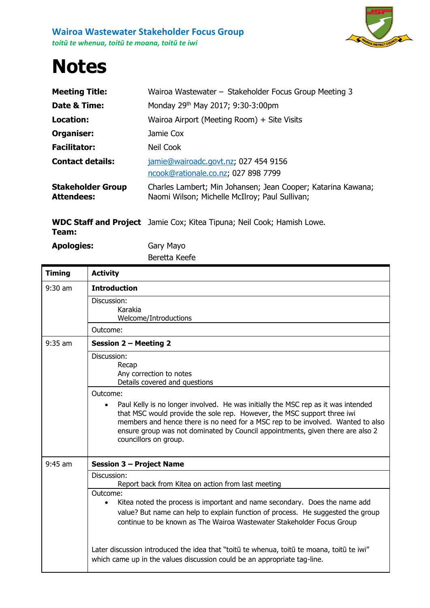

## **Notes**

| <b>Meeting Title:</b>                         | Wairoa Wastewater - Stakeholder Focus Group Meeting 3                                                          |
|-----------------------------------------------|----------------------------------------------------------------------------------------------------------------|
| Date & Time:                                  | Monday 29th May 2017; 9:30-3:00pm                                                                              |
| Location:                                     | Wairoa Airport (Meeting Room) + Site Visits                                                                    |
| Organiser:                                    | Jamie Cox                                                                                                      |
| <b>Facilitator:</b>                           | Neil Cook                                                                                                      |
| <b>Contact details:</b>                       | jamie@wairoadc.govt.nz; 027 454 9156<br>ncook@rationale.co.nz; 027 898 7799                                    |
| <b>Stakeholder Group</b><br><b>Attendees:</b> | Charles Lambert; Min Johansen; Jean Cooper; Katarina Kawana;<br>Naomi Wilson; Michelle McIlroy; Paul Sullivan; |

**WDC Staff and Project**  Jamie Cox; Kitea Tipuna; Neil Cook; Hamish Lowe. **Team:**

**Apologies:** Gary Mayo

Beretta Keefe

| <b>Timing</b> | <b>Activity</b>                                                                                                                                                                                                                                                                                                                                                                                                                                            |
|---------------|------------------------------------------------------------------------------------------------------------------------------------------------------------------------------------------------------------------------------------------------------------------------------------------------------------------------------------------------------------------------------------------------------------------------------------------------------------|
| $9:30$ am     | <b>Introduction</b>                                                                                                                                                                                                                                                                                                                                                                                                                                        |
|               | Discussion:<br>Karakia<br>Welcome/Introductions                                                                                                                                                                                                                                                                                                                                                                                                            |
|               | Outcome:                                                                                                                                                                                                                                                                                                                                                                                                                                                   |
| $9:35$ am     | Session 2 - Meeting 2                                                                                                                                                                                                                                                                                                                                                                                                                                      |
|               | Discussion:<br>Recap<br>Any correction to notes<br>Details covered and questions<br>Outcome:<br>Paul Kelly is no longer involved. He was initially the MSC rep as it was intended<br>that MSC would provide the sole rep. However, the MSC support three iwi<br>members and hence there is no need for a MSC rep to be involved. Wanted to also<br>ensure group was not dominated by Council appointments, given there are also 2<br>councillors on group. |
| $9:45$ am     | <b>Session 3 - Project Name</b>                                                                                                                                                                                                                                                                                                                                                                                                                            |
|               | Discussion:<br>Report back from Kitea on action from last meeting                                                                                                                                                                                                                                                                                                                                                                                          |
|               | Outcome:<br>Kitea noted the process is important and name secondary. Does the name add<br>$\bullet$<br>value? But name can help to explain function of process. He suggested the group<br>continue to be known as The Wairoa Wastewater Stakeholder Focus Group                                                                                                                                                                                            |
|               | Later discussion introduced the idea that "toitū te whenua, toitū te moana, toitū te iwi"<br>which came up in the values discussion could be an appropriate tag-line.                                                                                                                                                                                                                                                                                      |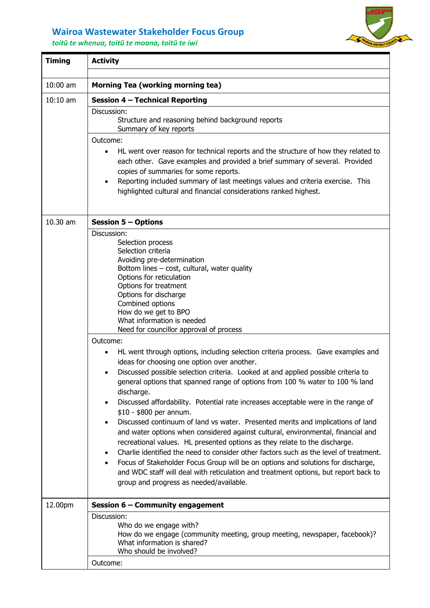## **Wairoa Wastewater Stakeholder Focus Group**

*toitū te whenua, toitū te moana, toitū te iwi*



| <b>Timing</b> | <b>Activity</b>                                                                                                                                                                                                                                                                                                                                                                                                                                                                                                                                                                             |
|---------------|---------------------------------------------------------------------------------------------------------------------------------------------------------------------------------------------------------------------------------------------------------------------------------------------------------------------------------------------------------------------------------------------------------------------------------------------------------------------------------------------------------------------------------------------------------------------------------------------|
| $10:00$ am    | <b>Morning Tea (working morning tea)</b>                                                                                                                                                                                                                                                                                                                                                                                                                                                                                                                                                    |
| $10:10$ am    | Session 4 - Technical Reporting                                                                                                                                                                                                                                                                                                                                                                                                                                                                                                                                                             |
|               | Discussion:<br>Structure and reasoning behind background reports<br>Summary of key reports<br>Outcome:                                                                                                                                                                                                                                                                                                                                                                                                                                                                                      |
|               | HL went over reason for technical reports and the structure of how they related to<br>each other. Gave examples and provided a brief summary of several. Provided<br>copies of summaries for some reports.<br>Reporting included summary of last meetings values and criteria exercise. This<br>highlighted cultural and financial considerations ranked highest.                                                                                                                                                                                                                           |
| 10.30 am      | <b>Session 5 - Options</b>                                                                                                                                                                                                                                                                                                                                                                                                                                                                                                                                                                  |
|               | Discussion:<br>Selection process<br>Selection criteria<br>Avoiding pre-determination<br>Bottom lines - cost, cultural, water quality<br>Options for reticulation<br>Options for treatment<br>Options for discharge<br>Combined options<br>How do we get to BPO<br>What information is needed<br>Need for councillor approval of process                                                                                                                                                                                                                                                     |
|               | Outcome:                                                                                                                                                                                                                                                                                                                                                                                                                                                                                                                                                                                    |
|               | HL went through options, including selection criteria process. Gave examples and<br>ideas for choosing one option over another.                                                                                                                                                                                                                                                                                                                                                                                                                                                             |
|               | Discussed possible selection criteria. Looked at and applied possible criteria to<br>general options that spanned range of options from 100 % water to 100 % land<br>discharge.<br>Discussed affordability. Potential rate increases acceptable were in the range of                                                                                                                                                                                                                                                                                                                        |
|               | \$10 - \$800 per annum.<br>Discussed continuum of land vs water. Presented merits and implications of land<br>and water options when considered against cultural, environmental, financial and<br>recreational values. HL presented options as they relate to the discharge.<br>Charlie identified the need to consider other factors such as the level of treatment.<br>Focus of Stakeholder Focus Group will be on options and solutions for discharge,<br>and WDC staff will deal with reticulation and treatment options, but report back to<br>group and progress as needed/available. |
| 12.00pm       | Session 6 - Community engagement                                                                                                                                                                                                                                                                                                                                                                                                                                                                                                                                                            |
|               | Discussion:<br>Who do we engage with?<br>How do we engage (community meeting, group meeting, newspaper, facebook)?<br>What information is shared?<br>Who should be involved?                                                                                                                                                                                                                                                                                                                                                                                                                |
|               | Outcome:                                                                                                                                                                                                                                                                                                                                                                                                                                                                                                                                                                                    |